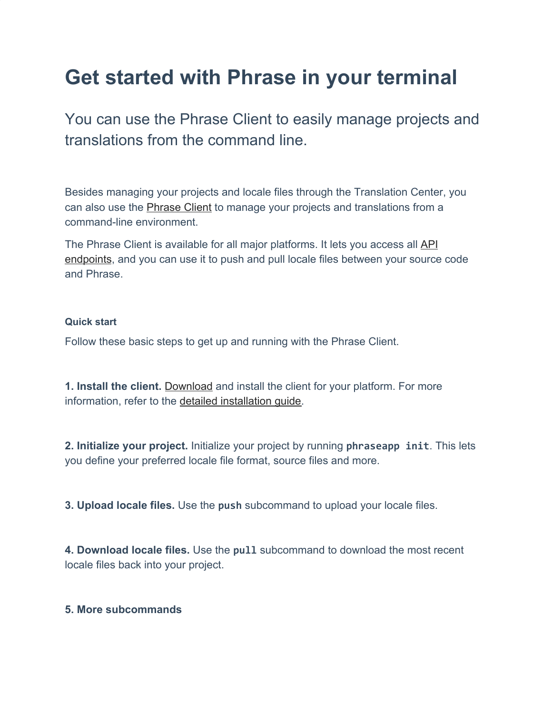## **Get started with Phrase in your terminal**

You can use the Phrase Client to easily manage projects and translations from the command line.

Besides managing your projects and locale files through the Translation Center, you can also use the **Phrase Client** to manage your projects and translations from a command-line environment.

The Phrase Client is available for all major platforms. It lets you access all [API](https://developers.phraseapp.com/api/) [endpoints](https://developers.phraseapp.com/api/), and you can use it to push and pull locale files between your source code and Phrase.

## **Quick start**

Follow these basic steps to get up and running with the Phrase Client.

**1. Install the client.** [Download](https://phrase.com/cli) and install the client for your platform. For more information, refer to the [detailed installation guide](https://help.phrase.com/help/installation-1?hsLang=en).

**2. Initialize your project.** Initialize your project by running **phraseapp init**. This lets you define your preferred locale file format, source files and more.

**3. Upload locale files.** Use the **push** subcommand to upload your locale files.

**4. Download locale files.** Use the **pull** subcommand to download the most recent locale files back into your project.

## **5. More subcommands**